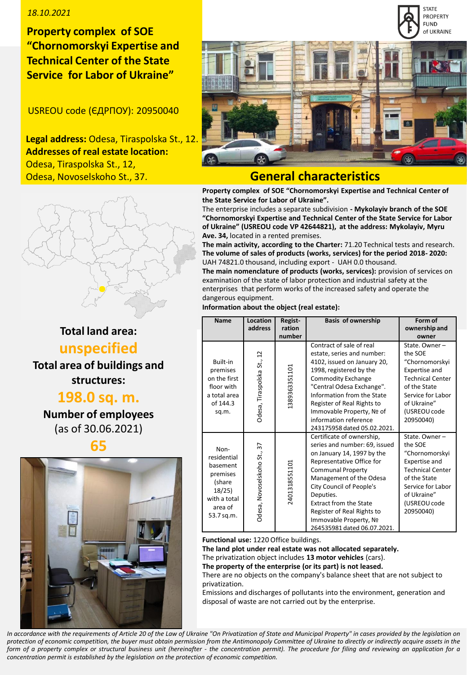# *18.10.2021*

**Property complex of SOE "Сhornomorskyi Expertise and Technical Center of the State Service for Labor of Ukraine"**

USREOU code (ЄДРПОУ): 20950040

**Legal address:** Odesa, Tiraspolska St., 12. **Addresses of real estate location:** Odesa, Tiraspolska St., 12, Odesa, Novoselskoho St., 37.



**STATE** 

# **General characteristics**

**Property complex of SOE "Сhornomorskyi Expertise and Technical Center of the State Service for Labor of Ukraine".**

The enterprise includes a separate subdivision **- Mykolayiv branch of the SOE "Сhornomorskyi Expertise and Technical Center of the State Service for Labor of Ukraine" (USREOU code VP 42644821), at the address: Mykolayiv, Myru Ave. 34,** located in a rented premises.

**The main activity, according to the Charter:** 71.20 Technical tests and research. **The volume of sales of products (works, services) for the period 2018- 2020:** UAH 74821.0 thousand, including export - UAH 0.0 thousand.

**The main nomenclature of products (works, services):** provision of services on examination of the state of labor protection and industrial safety at the enterprises that perform works of the increased safety and operate the dangerous equipment.

**Information about the object (real estate):**

| <b>Name</b>                                                                                             | Location<br>address         | Regist-<br>ration<br>number | <b>Basis of ownership</b>                                                                                                                                                                                                                                                                                                                     | Form of<br>ownership and<br>owner                                                                                                                                       |
|---------------------------------------------------------------------------------------------------------|-----------------------------|-----------------------------|-----------------------------------------------------------------------------------------------------------------------------------------------------------------------------------------------------------------------------------------------------------------------------------------------------------------------------------------------|-------------------------------------------------------------------------------------------------------------------------------------------------------------------------|
| Built-in<br>premises<br>on the first<br>floor with<br>a total area<br>of 144.3<br>sq.m.                 | Odesa, Tiraspolska St., 12  | 1389363351101               | Contract of sale of real<br>estate, series and number:<br>4102, issued on January 20,<br>1998, registered by the<br><b>Commodity Exchange</b><br>"Central Odesa Exchange".<br>Information from the State<br>Register of Real Rights to<br>Immovable Property, Nº of<br>information reference<br>243175958 dated 05.02.2021.                   | State, Owner-<br>the SOE<br>"Chornomorskyi<br>Expertise and<br><b>Technical Center</b><br>of the State<br>Service for Labor<br>of Ukraine"<br>(USREOU code<br>20950040) |
| Non-<br>residential<br>basement<br>premises<br>(share<br>18/25<br>with a total<br>area of<br>53.7 sq.m. | Odesa, Novoselskoho St., 37 | 2401318551101               | Certificate of ownership,<br>series and number: 69, issued<br>on January 14, 1997 by the<br>Representative Office for<br><b>Communal Property</b><br>Management of the Odesa<br>City Council of People's<br>Deputies.<br><b>Extract from the State</b><br>Register of Real Rights to<br>Immovable Property, Nº<br>264535981 dated 06.07.2021. | State, Owner-<br>the SOE<br>"Chornomorskyi<br>Expertise and<br><b>Technical Center</b><br>of the State<br>Service for Labor<br>of Ukraine"<br>(USREOU code<br>20950040) |

**Functional use:** 1220 Office buildings.

**The land plot under real estate was not allocated separately.**

The privatization object includes **13 motor vehicles** (cars).

**The property of the enterprise (or its part) is not leased.** There are no objects on the company's balance sheet that are not subject to privatization.

Emissions and discharges of pollutants into the environment, generation and disposal of waste are not carried out by the enterprise.

In accordance with the requirements of Article 20 of the Law of Ukraine "On Privatization of State and Municipal Property" in cases provided by the legislation on protection of economic competition, the buyer must obtain permission from the Antimonopoly Committee of Ukraine to directly or indirectly acquire assets in the form of a property complex or structural business unit (hereinafter - the concentration permit). The procedure for filing and reviewing an application for a *concentration permit is established by the legislation on the protection of economic competition.*

# **Total land area: unspecified**

**Total area of buildings and structures:** 

**198.0 sq. m.**

**Number of employees**  (as of 30.06.2021)

**65**